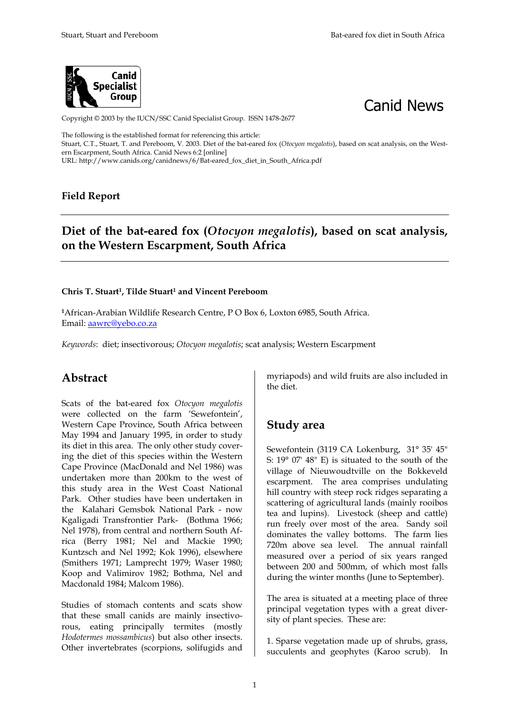



Copyright © 2003 by the IUCN/SSC Canid Specialist Group. ISSN 1478-2677

The following is the established format for referencing this article: Stuart, C.T., Stuart, T. and Pereboom, V. 2003. Diet of the bat-eared fox (*Otocyon megalotis*), based on scat analysis, on the Western Escarpment, South Africa. Canid News 6:2 [online] URL: http://www.canids.org/canidnews/6/Bat-eared\_fox\_diet\_in\_South\_Africa.pdf

#### **Field Report**

## **Diet of the bat-eared fox (***Otocyon megalotis***), based on scat analysis, on the Western Escarpment, South Africa**

#### **Chris T. Stuart1, Tilde Stuart1 and Vincent Pereboom**

**<sup>1</sup>**African-Arabian Wildlife Research Centre, P O Box 6, Loxton 6985, South Africa. Email: aawrc@yebo.co.za

*Keywords*: diet; insectivorous; *Otocyon megalotis*; scat analysis; Western Escarpment

#### **Abstract**

Scats of the bat-eared fox *Otocyon megalotis* were collected on the farm 'Sewefontein', Western Cape Province, South Africa between May 1994 and January 1995, in order to study its diet in this area. The only other study covering the diet of this species within the Western Cape Province (MacDonald and Nel 1986) was undertaken more than 200km to the west of this study area in the West Coast National Park. Other studies have been undertaken in the Kalahari Gemsbok National Park - now Kgaligadi Transfrontier Park- (Bothma 1966; Nel 1978), from central and northern South Africa (Berry 1981; Nel and Mackie 1990; Kuntzsch and Nel 1992; Kok 1996), elsewhere (Smithers 1971; Lamprecht 1979; Waser 1980; Koop and Valimirov 1982; Bothma, Nel and Macdonald 1984; Malcom 1986).

Studies of stomach contents and scats show that these small canids are mainly insectivorous, eating principally termites (mostly *Hodotermes mossambicus*) but also other insects. Other invertebrates (scorpions, solifugids and

myriapods) and wild fruits are also included in the diet.

#### **Study area**

Sewefontein (3119 CA Lokenburg, 31° 35' 45" S: 19° 07' 48" E) is situated to the south of the village of Nieuwoudtville on the Bokkeveld escarpment. The area comprises undulating hill country with steep rock ridges separating a scattering of agricultural lands (mainly rooibos tea and lupins). Livestock (sheep and cattle) run freely over most of the area. Sandy soil dominates the valley bottoms. The farm lies 720m above sea level. The annual rainfall measured over a period of six years ranged between 200 and 500mm, of which most falls during the winter months (June to September).

The area is situated at a meeting place of three principal vegetation types with a great diversity of plant species. These are:

1. Sparse vegetation made up of shrubs, grass, succulents and geophytes (Karoo scrub). In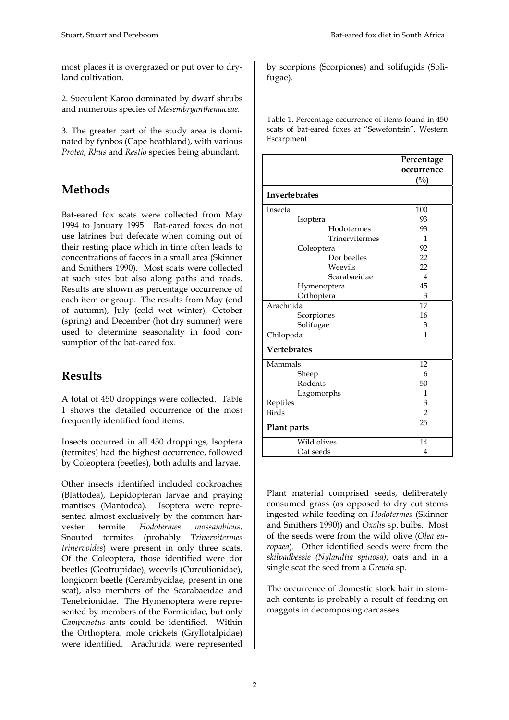most places it is overgrazed or put over to dryland cultivation.

2. Succulent Karoo dominated by dwarf shrubs and numerous species of *Mesembryanthemaceae.* 

3. The greater part of the study area is dominated by fynbos (Cape heathland), with various *Protea, Rhus* and *Restio* species being abundant.

## **Methods**

Bat-eared fox scats were collected from May 1994 to January 1995. Bat-eared foxes do not use latrines but defecate when coming out of their resting place which in time often leads to concentrations of faeces in a small area (Skinner and Smithers 1990). Most scats were collected at such sites but also along paths and roads. Results are shown as percentage occurrence of each item or group. The results from May (end of autumn), July (cold wet winter), October (spring) and December (hot dry summer) were used to determine seasonality in food consumption of the bat-eared fox.

### **Results**

A total of 450 droppings were collected. Table 1 shows the detailed occurrence of the most frequently identified food items.

Insects occurred in all 450 droppings, Isoptera (termites) had the highest occurrence, followed by Coleoptera (beetles), both adults and larvae.

Other insects identified included cockroaches (Blattodea), Lepidopteran larvae and praying mantises (Mantodea). Isoptera were represented almost exclusively by the common harvester termite *Hodotermes mossambicus.*  Snouted termites (probably *Trinervitermes trinervoides*) were present in only three scats. Of the Coleoptera, those identified were dor beetles (Geotrupidae), weevils (Curculionidae), longicorn beetle (Cerambycidae, present in one scat), also members of the Scarabaeidae and Tenebrionidae. The Hymenoptera were represented by members of the Formicidae, but only *Camponotus* ants could be identified. Within the Orthoptera, mole crickets (Gryllotalpidae) were identified. Arachnida were represented by scorpions (Scorpiones) and solifugids (Solifugae).

Table 1. Percentage occurrence of items found in 450 scats of bat-eared foxes at "Sewefontein", Western Escarpment

|                      | Percentage<br>occurrence<br>$($ %) |
|----------------------|------------------------------------|
| <b>Invertebrates</b> |                                    |
| Insecta              | 100                                |
| Isoptera             | 93                                 |
| Hodotermes           | 93                                 |
| Trinervitermes       | 1                                  |
| Coleoptera           | 92                                 |
| Dor beetles          | 22                                 |
| Weevils              | 22                                 |
| Scarabaeidae         | $\overline{4}$                     |
| Hymenoptera          | 45                                 |
| Orthoptera           | 3                                  |
| Arachnida            | 17                                 |
| Scorpiones           | 16                                 |
| Solifugae            | 3                                  |
| Chilopoda            | 1                                  |
| <b>Vertebrates</b>   |                                    |
| Mammals              | 12                                 |
| Sheep                | 6                                  |
| Rodents              | 50                                 |
| Lagomorphs           | 1                                  |
| Reptiles             | 3                                  |
| <b>Birds</b>         | $\overline{2}$                     |
| Plant parts          | 25                                 |
| Wild olives          | 14                                 |
| Oat seeds            | 4                                  |

Plant material comprised seeds, deliberately consumed grass (as opposed to dry cut stems ingested while feeding on *Hodotermes* (Skinner and Smithers 1990)) and *Oxalis* sp. bulbs. Most of the seeds were from the wild olive (*Olea europaea*). Other identified seeds were from the *skilpadbessie (Nylandtia spinosa)*, oats and in a single scat the seed from a *Grewia* sp.

The occurrence of domestic stock hair in stomach contents is probably a result of feeding on maggots in decomposing carcasses.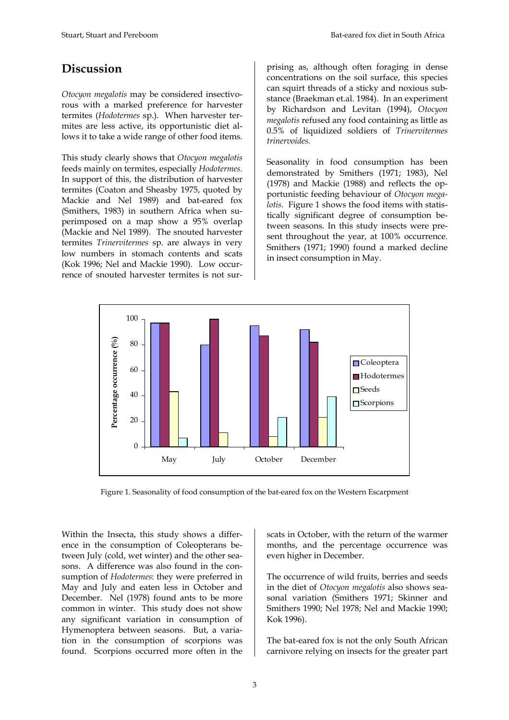## **Discussion**

*Otocyon megalotis* may be considered insectivorous with a marked preference for harvester termites (*Hodotermes* sp.). When harvester termites are less active, its opportunistic diet allows it to take a wide range of other food items.

This study clearly shows that *Otocyon megalotis* feeds mainly on termites, especially *Hodotermes*. In support of this, the distribution of harvester termites (Coaton and Sheasby 1975, quoted by Mackie and Nel 1989) and bat-eared fox (Smithers, 1983) in southern Africa when superimposed on a map show a 95% overlap (Mackie and Nel 1989). The snouted harvester termites *Trinervitermes* sp. are always in very low numbers in stomach contents and scats (Kok 1996; Nel and Mackie 1990). Low occurrence of snouted harvester termites is not surprising as, although often foraging in dense concentrations on the soil surface, this species can squirt threads of a sticky and noxious substance (Braekman et.al. 1984). In an experiment by Richardson and Levitan (1994), *Otocyon megalotis* refused any food containing as little as 0.5% of liquidized soldiers of *Trinervitermes trinervoides.*

Seasonality in food consumption has been demonstrated by Smithers (1971; 1983), Nel (1978) and Mackie (1988) and reflects the opportunistic feeding behaviour of *Otocyon megalotis.* Figure 1 shows the food items with statistically significant degree of consumption between seasons. In this study insects were present throughout the year, at 100% occurrence. Smithers (1971; 1990) found a marked decline in insect consumption in May.



Figure 1. Seasonality of food consumption of the bat-eared fox on the Western Escarpment

Within the Insecta, this study shows a difference in the consumption of Coleopterans between July (cold, wet winter) and the other seasons. A difference was also found in the consumption of *Hodotermes*: they were preferred in May and July and eaten less in October and December. Nel (1978) found ants to be more common in winter. This study does not show any significant variation in consumption of Hymenoptera between seasons. But, a variation in the consumption of scorpions was found. Scorpions occurred more often in the

scats in October, with the return of the warmer months, and the percentage occurrence was even higher in December.

The occurrence of wild fruits, berries and seeds in the diet of *Otocyon megalotis* also shows seasonal variation (Smithers 1971; Skinner and Smithers 1990; Nel 1978; Nel and Mackie 1990; Kok 1996).

The bat-eared fox is not the only South African carnivore relying on insects for the greater part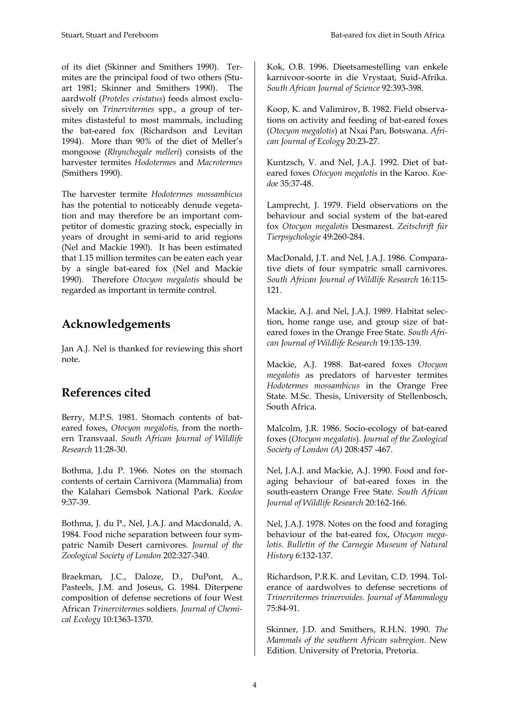of its diet (Skinner and Smithers 1990). Termites are the principal food of two others (Stuart 1981; Skinner and Smithers 1990). The aardwolf (*Proteles cristatus*) feeds almost exclusively on *Trinervitermes* spp.*,* a group of termites distasteful to most mammals, including the bat-eared fox (Richardson and Levitan 1994). More than 90% of the diet of Meller's mongoose (*Rhynchogale melleri*) consists of the harvester termites *Hodotermes* and *Macrotermes* (Smithers 1990).

The harvester termite *Hodotermes mossambicus* has the potential to noticeably denude vegetation and may therefore be an important competitor of domestic grazing stock, especially in years of drought in semi-arid to arid regions (Nel and Mackie 1990). It has been estimated that 1.15 million termites can be eaten each year by a single bat-eared fox (Nel and Mackie 1990). Therefore *Otocyon megalotis* should be regarded as important in termite control.

# **Acknowledgements**

Jan A.J. Nel is thanked for reviewing this short note.

# **References cited**

Berry, M.P.S. 1981. Stomach contents of bateared foxes, *Otocyon megalotis,* from the northern Transvaal. *South African Journal of Wildlife Research* 11:28-30.

Bothma, J.du P. 1966. Notes on the stomach contents of certain Carnivora (Mammalia) from the Kalahari Gemsbok National Park. *Koedoe* 9:37-39.

Bothma, J. du P., Nel, J.A.J. and Macdonald, A. 1984. Food niche separation between four sympatric Namib Desert carnivores. *Journal of the Zoological Society of London* 202:327-340.

Braekman, J.C., Daloze, D., DuPont, A., Pasteels, J.M. and Joseus, G. 1984. Diterpene composition of defense secretions of four West African *Trinervitermes* soldiers. *Journal of Chemical Ecology* 10:1363-1370.

Kok, O.B. 1996. Dieetsamestelling van enkele karnivoor-soorte in die Vrystaat, Suid-Afrika. *South African Journal of Science* 92:393-398.

Koop, K. and Valimirov, B. 1982. Field observations on activity and feeding of bat-eared foxes (*Otocyon megalotis*) at Nxai Pan, Botswana. *African Journal of Ecology* 20:23-27.

Kuntzsch, V. and Nel, J.A.J. 1992. Diet of bateared foxes *Otocyon megalotis* in the Karoo. *Koedoe* 35:37-48.

Lamprecht, J. 1979. Field observations on the behaviour and social system of the bat-eared fox *Otocyon megalotis* Desmarest. *Zeitschrift für Tierpsychologie* 49:260-284.

MacDonald, J.T. and Nel, J.A.J. 1986. Comparative diets of four sympatric small carnivores. *South African Journal of Wildlife Research* 16:115- 121.

Mackie, A.J. and Nel, J.A.J. 1989. Habitat selection, home range use, and group size of bateared foxes in the Orange Free State. *South African Journal of Wildlife Research* 19:135-139.

Mackie, A.J. 1988. Bat-eared foxes *Otocyon megalotis* as predators of harvester termites *Hodotermes mossambicus* in the Orange Free State. M.Sc. Thesis, University of Stellenbosch, South Africa.

Malcolm, J.R. 1986. Socio-ecology of bat-eared foxes (*Otocyon megalotis*). *Journal of the Zoological Society of London (A)* 208:457 -467.

Nel, J.A.J. and Mackie, A.J. 1990. Food and foraging behaviour of bat-eared foxes in the south-eastern Orange Free State. *South African Journal of Wildlife Research* 20:162-166.

Nel, J.A.J. 1978. Notes on the food and foraging behaviour of the bat-eared fox, *Otocyon megalotis. Bulletin of the Carnegie Museum of Natural History* 6:132-137.

Richardson, P.R.K. and Levitan, C.D. 1994. Tolerance of aardwolves to defense secretions of *Trinervitermes trinervoides. Journal of Mammalogy*  75:84-91.

Skinner, J.D. and Smithers, R.H.N. 1990. *The Mammals of the southern African subregion.* New Edition. University of Pretoria, Pretoria.